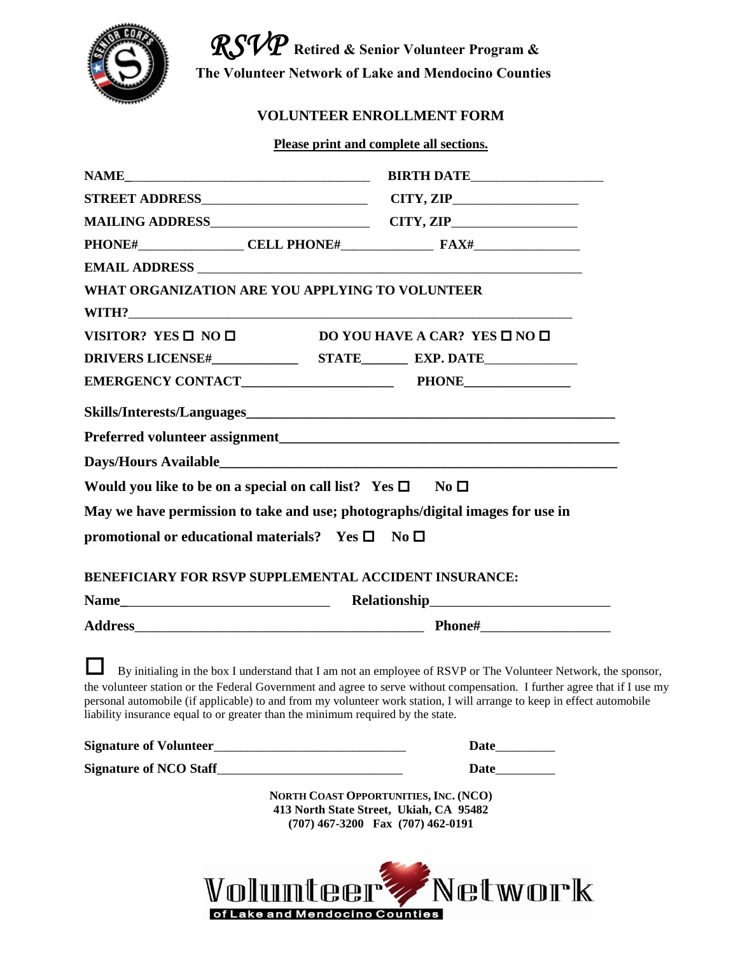

 *RSVP* **Retired & Senior Volunteer Program & The Volunteer Network of Lake and Mendocino Counties**

## **VOLUNTEER ENROLLMENT FORM**

**Please print and complete all sections.**

| WHAT ORGANIZATION ARE YOU APPLYING TO VOLUNTEER                                   |                                                                                                                                                                                                                                                                                                                                                                       |
|-----------------------------------------------------------------------------------|-----------------------------------------------------------------------------------------------------------------------------------------------------------------------------------------------------------------------------------------------------------------------------------------------------------------------------------------------------------------------|
|                                                                                   |                                                                                                                                                                                                                                                                                                                                                                       |
| VISITOR? YES $\square$ NO $\square$ DO YOU HAVE A CAR? YES $\square$ NO $\square$ |                                                                                                                                                                                                                                                                                                                                                                       |
|                                                                                   |                                                                                                                                                                                                                                                                                                                                                                       |
|                                                                                   |                                                                                                                                                                                                                                                                                                                                                                       |
|                                                                                   |                                                                                                                                                                                                                                                                                                                                                                       |
|                                                                                   |                                                                                                                                                                                                                                                                                                                                                                       |
|                                                                                   |                                                                                                                                                                                                                                                                                                                                                                       |
| Would you like to be on a special on call list? Yes $\square$ No $\square$        |                                                                                                                                                                                                                                                                                                                                                                       |
| May we have permission to take and use; photographs/digital images for use in     |                                                                                                                                                                                                                                                                                                                                                                       |
| promotional or educational materials? Yes $\square$ No $\square$                  |                                                                                                                                                                                                                                                                                                                                                                       |
|                                                                                   |                                                                                                                                                                                                                                                                                                                                                                       |
| <b>BENEFICIARY FOR RSVP SUPPLEMENTAL ACCIDENT INSURANCE:</b>                      |                                                                                                                                                                                                                                                                                                                                                                       |
|                                                                                   |                                                                                                                                                                                                                                                                                                                                                                       |
|                                                                                   |                                                                                                                                                                                                                                                                                                                                                                       |
| liability insurance equal to or greater than the minimum required by the state.   | By initialing in the box I understand that I am not an employee of RSVP or The Volunteer Network, the sponsor,<br>the volunteer station or the Federal Government and agree to serve without compensation. I further agree that if I use my<br>personal automobile (if applicable) to and from my volunteer work station, I will arrange to keep in effect automobile |
|                                                                                   |                                                                                                                                                                                                                                                                                                                                                                       |
|                                                                                   |                                                                                                                                                                                                                                                                                                                                                                       |
|                                                                                   | NORTH COAST OPPORTUNITIES, INC. (NCO)<br>413 North State Street, Ukiah, CA 95482<br>(707) 467-3200 Fax (707) 462-0191                                                                                                                                                                                                                                                 |
|                                                                                   | Volunteer Network                                                                                                                                                                                                                                                                                                                                                     |

of Lake and Mendocino Counties